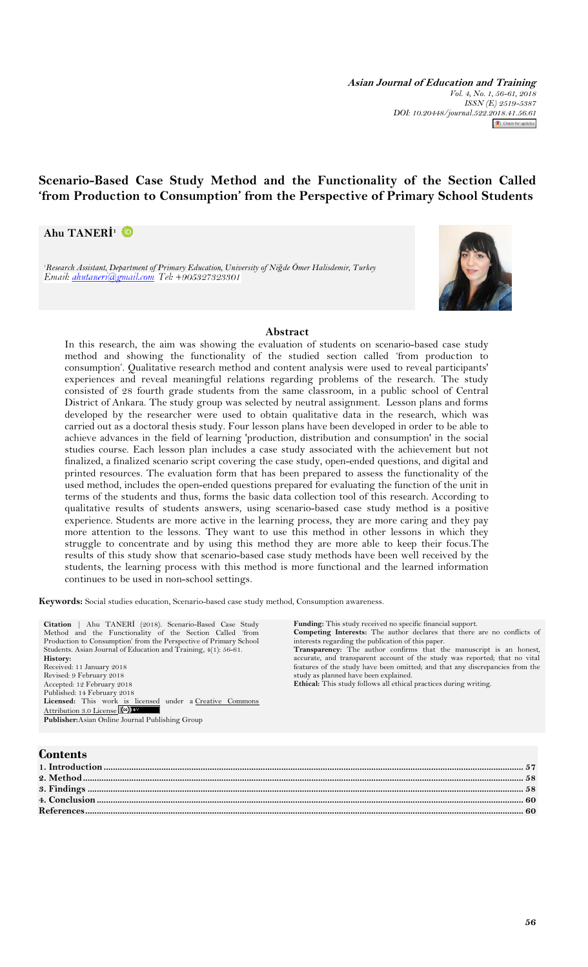**Asian Journal of Education and Training** *Vol. 4, No. 1, 56-61, 2018 ISSN (E) 2519-5387 DOI: 10.20448/journal.522.2018.41.56.61* Check for updates

# **Scenario-Based Case Study Method and the Functionality of the Section Called 'from Production to Consumption' from the Perspective of Primary School Students**

### **Ahu TANERİ 1**

*<sup>1</sup>Research Assistant, Department of Primary Education, University of Niğde Ömer Halisdemir, Turkey*



#### **Abstract**

In this research, the aim was showing the evaluation of students on scenario-based case study method and showing the functionality of the studied section called 'from production to consumption'. Qualitative research method and content analysis were used to reveal participants' experiences and reveal meaningful relations regarding problems of the research. The study consisted of 28 fourth grade students from the same classroom, in a public school of Central District of Ankara. The study group was selected by neutral assignment. Lesson plans and forms developed by the researcher were used to obtain qualitative data in the research, which was carried out as a doctoral thesis study. Four lesson plans have been developed in order to be able to achieve advances in the field of learning 'production, distribution and consumption' in the social studies course. Each lesson plan includes a case study associated with the achievement but not finalized, a finalized scenario script covering the case study, open-ended questions, and digital and printed resources. The evaluation form that has been prepared to assess the functionality of the used method, includes the open-ended questions prepared for evaluating the function of the unit in terms of the students and thus, forms the basic data collection tool of this research. According to qualitative results of students answers, using scenario-based case study method is a positive experience. Students are more active in the learning process, they are more caring and they pay more attention to the lessons. They want to use this method in other lessons in which they struggle to concentrate and by using this method they are more able to keep their focus.The results of this study show that scenario-based case study methods have been well received by the students, the learning process with this method is more functional and the learned information continues to be used in non-school settings.

**Keywords:** Social studies education, Scenario-based case study method, Consumption awareness.

**Citation** | Ahu TANERİ (2018). Scenario-Based Case Study Method and the Functionality of the Section Called 'from Production to Consumption' from the Perspective of Primary School Students. Asian Journal of Education and Training, 4(1): 56-61. **History:** Received: 11 January 2018 Revised: 9 February 2018 Accepted: 12 February 2018 Published: 14 February 2018 Licensed: This work is licensed under a Creative Commons [Attribution 3.0 License](http://creativecommons.org/licenses/by/3.0/) (cc) **Publisher:**Asian Online Journal Publishing Group

**Funding:** This study received no specific financial support. **Competing Interests:** The author declares that there are no conflicts of

interests regarding the publication of this paper. **Transparency:** The author confirms that the manuscript is an honest, accurate, and transparent account of the study was reported; that no vital features of the study have been omitted; and that any discrepancies from the study as planned have been explained.

#### **Ethical:** This study follows all ethical practices during writing.

## **Contents**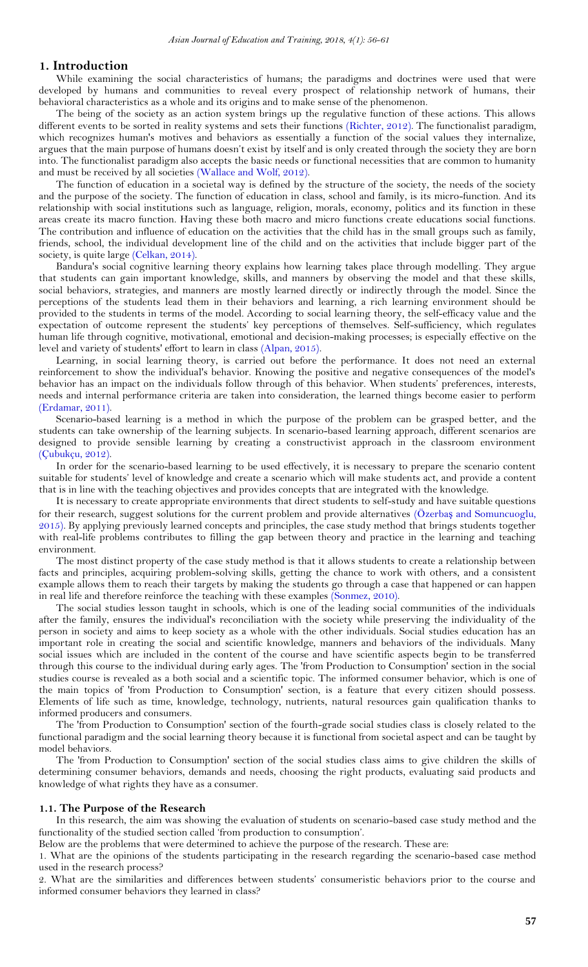#### <span id="page-1-0"></span>**1. Introduction**

While examining the social characteristics of humans; the paradigms and doctrines were used that were developed by humans and communities to reveal every prospect of relationship network of humans, their behavioral characteristics as a whole and its origins and to make sense of the phenomenon.

The being of the society as an action system brings up the regulative function of these actions. This allows different events to be sorted in reality systems and sets their functions [\(Richter, 2012\)](#page-5-0). The functionalist paradigm, which recognizes human's motives and behaviors as essentially a function of the social values they internalize, argues that the main purpose of humans doesn't exist by itself and is only created through the society they are born into. The functionalist paradigm also accepts the basic needs or functional necessities that are common to humanity and must be received by all societies [\(Wallace and Wolf, 2012\)](#page-5-1).

The function of education in a societal way is defined by the structure of the society, the needs of the society and the purpose of the society. The function of education in class, school and family, is its micro-function. And its relationship with social institutions such as language, religion, morals, economy, politics and its function in these areas create its macro function. Having these both macro and micro functions create educations social functions. The contribution and influence of education on the activities that the child has in the small groups such as family, friends, school, the individual development line of the child and on the activities that include bigger part of the society, is quite large [\(Celkan, 2014\)](#page-4-2).

Bandura's social cognitive learning theory explains how learning takes place through modelling. They argue that students can gain important knowledge, skills, and manners by observing the model and that these skills, social behaviors, strategies, and manners are mostly learned directly or indirectly through the model. Since the perceptions of the students lead them in their behaviors and learning, a rich learning environment should be provided to the students in terms of the model. According to social learning theory, the self-efficacy value and the expectation of outcome represent the students' key perceptions of themselves. Self-sufficiency, which regulates human life through cognitive, motivational, emotional and decision-making processes; is especially effective on the level and variety of students' effort to learn in class [\(Alpan, 2015\)](#page-4-3).

Learning, in social learning theory, is carried out before the performance. It does not need an external reinforcement to show the individual's behavior. Knowing the positive and negative consequences of the model's behavior has an impact on the individuals follow through of this behavior. When students' preferences, interests, needs and internal performance criteria are taken into consideration, the learned things become easier to perform [\(Erdamar, 2011\)](#page-4-4).

Scenario-based learning is a method in which the purpose of the problem can be grasped better, and the students can take ownership of the learning subjects. In scenario-based learning approach, different scenarios are designed to provide sensible learning by creating a constructivist approach in the classroom environment [\(Çubukçu, 2012\)](#page-4-5).

In order for the scenario-based learning to be used effectively, it is necessary to prepare the scenario content suitable for students' level of knowledge and create a scenario which will make students act, and provide a content that is in line with the teaching objectives and provides concepts that are integrated with the knowledge.

It is necessary to create appropriate environments that direct students to self-study and have suitable questions for their research, suggest solutions for the current problem and provide alternatives (Özerbaş [and Somuncuoglu,](#page-5-2)  [2015\)](#page-5-2). By applying previously learned concepts and principles, the case study method that brings students together with real-life problems contributes to filling the gap between theory and practice in the learning and teaching environment.

The most distinct property of the case study method is that it allows students to create a relationship between facts and principles, acquiring problem-solving skills, getting the chance to work with others, and a consistent example allows them to reach their targets by making the students go through a case that happened or can happen in real life and therefore reinforce the teaching with these examples [\(Sonmez, 2010\)](#page-5-3).

The social studies lesson taught in schools, which is one of the leading social communities of the individuals after the family, ensures the individual's reconciliation with the society while preserving the individuality of the person in society and aims to keep society as a whole with the other individuals. Social studies education has an important role in creating the social and scientific knowledge, manners and behaviors of the individuals. Many social issues which are included in the content of the course and have scientific aspects begin to be transferred through this course to the individual during early ages. The 'from Production to Consumption' section in the social studies course is revealed as a both social and a scientific topic. The informed consumer behavior, which is one of the main topics of 'from Production to Consumption' section, is a feature that every citizen should possess. Elements of life such as time, knowledge, technology, nutrients, natural resources gain qualification thanks to informed producers and consumers.

The 'from Production to Consumption' section of the fourth-grade social studies class is closely related to the functional paradigm and the social learning theory because it is functional from societal aspect and can be taught by model behaviors.

The 'from Production to Consumption' section of the social studies class aims to give children the skills of determining consumer behaviors, demands and needs, choosing the right products, evaluating said products and knowledge of what rights they have as a consumer.

#### **1.1. The Purpose of the Research**

In this research, the aim was showing the evaluation of students on scenario-based case study method and the functionality of the studied section called 'from production to consumption'.

Below are the problems that were determined to achieve the purpose of the research. These are:

1. What are the opinions of the students participating in the research regarding the scenario-based case method used in the research process?

2. What are the similarities and differences between students' consumeristic behaviors prior to the course and informed consumer behaviors they learned in class?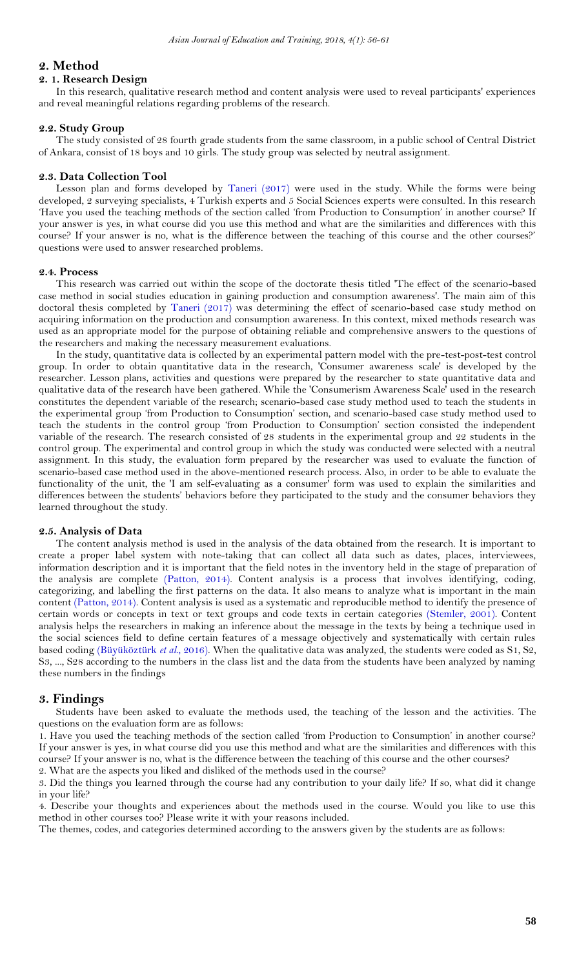### <span id="page-2-0"></span>**2. Method**

### **2. 1. Research Design**

In this research, qualitative research method and content analysis were used to reveal participants' experiences and reveal meaningful relations regarding problems of the research.

#### **2.2. Study Group**

The study consisted of 28 fourth grade students from the same classroom, in a public school of Central District of Ankara, consist of 18 boys and 10 girls. The study group was selected by neutral assignment.

#### **2.3. Data Collection Tool**

Lesson plan and forms developed by [Taneri \(2017\)](#page-5-4) were used in the study. While the forms were being developed, 2 surveying specialists, 4 Turkish experts and 5 Social Sciences experts were consulted. In this research 'Have you used the teaching methods of the section called 'from Production to Consumption' in another course? If your answer is yes, in what course did you use this method and what are the similarities and differences with this course? If your answer is no, what is the difference between the teaching of this course and the other courses?' questions were used to answer researched problems.

### **2.4. Process**

This research was carried out within the scope of the doctorate thesis titled 'The effect of the scenario-based case method in social studies education in gaining production and consumption awareness'. The main aim of this doctoral thesis completed by [Taneri \(2017\)](#page-5-4) was determining the effect of scenario-based case study method on acquiring information on the production and consumption awareness. In this context, mixed methods research was used as an appropriate model for the purpose of obtaining reliable and comprehensive answers to the questions of the researchers and making the necessary measurement evaluations.

In the study, quantitative data is collected by an experimental pattern model with the pre-test-post-test control group. In order to obtain quantitative data in the research, 'Consumer awareness scale' is developed by the researcher. Lesson plans, activities and questions were prepared by the researcher to state quantitative data and qualitative data of the research have been gathered. While the 'Consumerism Awareness Scale' used in the research constitutes the dependent variable of the research; scenario-based case study method used to teach the students in the experimental group 'from Production to Consumption' section, and scenario-based case study method used to teach the students in the control group 'from Production to Consumption' section consisted the independent variable of the research. The research consisted of 28 students in the experimental group and 22 students in the control group. The experimental and control group in which the study was conducted were selected with a neutral assignment. In this study, the evaluation form prepared by the researcher was used to evaluate the function of scenario-based case method used in the above-mentioned research process. Also, in order to be able to evaluate the functionality of the unit, the 'I am self-evaluating as a consumer' form was used to explain the similarities and differences between the students' behaviors before they participated to the study and the consumer behaviors they learned throughout the study.

#### **2.5. Analysis of Data**

The content analysis method is used in the analysis of the data obtained from the research. It is important to create a proper label system with note-taking that can collect all data such as dates, places, interviewees, information description and it is important that the field notes in the inventory held in the stage of preparation of the analysis are complete [\(Patton, 2014\)](#page-5-5). Content analysis is a process that involves identifying, coding, categorizing, and labelling the first patterns on the data. It also means to analyze what is important in the main content [\(Patton, 2014\)](#page-5-5). Content analysis is used as a systematic and reproducible method to identify the presence of certain words or concepts in text or text groups and code texts in certain categories [\(Stemler, 2001\)](#page-5-6). Content analysis helps the researchers in making an inference about the message in the texts by being a technique used in the social sciences field to define certain features of a message objectively and systematically with certain rules based coding [\(Büyüköztürk](#page-4-6) *et al.*, 2016). When the qualitative data was analyzed, the students were coded as S1, S2, S3, ..., S28 according to the numbers in the class list and the data from the students have been analyzed by naming these numbers in the findings

### <span id="page-2-1"></span>**3. Findings**

Students have been asked to evaluate the methods used, the teaching of the lesson and the activities. The questions on the evaluation form are as follows:

1. Have you used the teaching methods of the section called 'from Production to Consumption' in another course? If your answer is yes, in what course did you use this method and what are the similarities and differences with this course? If your answer is no, what is the difference between the teaching of this course and the other courses?

2. What are the aspects you liked and disliked of the methods used in the course?

3. Did the things you learned through the course had any contribution to your daily life? If so, what did it change in your life?

4. Describe your thoughts and experiences about the methods used in the course. Would you like to use this method in other courses too? Please write it with your reasons included.

The themes, codes, and categories determined according to the answers given by the students are as follows: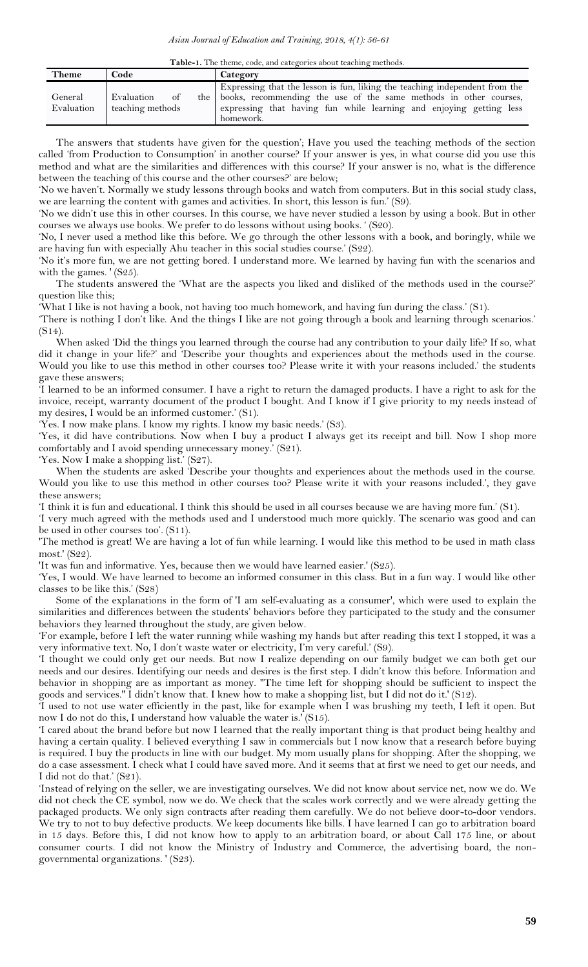**Table-1.** The theme, code, and categories about teaching methods.

| Theme                 | Code                                            | Category                                                                                                                                                                                                                                 |
|-----------------------|-------------------------------------------------|------------------------------------------------------------------------------------------------------------------------------------------------------------------------------------------------------------------------------------------|
| General<br>Evaluation | Evaluation<br><sub>of</sub><br>teaching methods | Expressing that the lesson is fun, liking the teaching independent from the<br>the books, recommending the use of the same methods in other courses,<br>expressing that having fun while learning and enjoying getting less<br>homework. |

The answers that students have given for the question'; Have you used the teaching methods of the section called 'from Production to Consumption' in another course? If your answer is yes, in what course did you use this method and what are the similarities and differences with this course? If your answer is no, what is the difference between the teaching of this course and the other courses?' are below;

'No we haven't. Normally we study lessons through books and watch from computers. But in this social study class, we are learning the content with games and activities. In short, this lesson is fun.' (S9).

'No we didn't use this in other courses. In this course, we have never studied a lesson by using a book. But in other courses we always use books. We prefer to do lessons without using books. ' (S20).

'No, I never used a method like this before. We go through the other lessons with a book, and boringly, while we are having fun with especially Ahu teacher in this social studies course.' (S22).

'No it's more fun, we are not getting bored. I understand more. We learned by having fun with the scenarios and with the games. '(S25).

The students answered the 'What are the aspects you liked and disliked of the methods used in the course?' question like this;

'What I like is not having a book, not having too much homework, and having fun during the class.' (S1).

'There is nothing I don't like. And the things I like are not going through a book and learning through scenarios.' (S14).

When asked 'Did the things you learned through the course had any contribution to your daily life? If so, what did it change in your life?' and 'Describe your thoughts and experiences about the methods used in the course. Would you like to use this method in other courses too? Please write it with your reasons included.' the students gave these answers;

'I learned to be an informed consumer. I have a right to return the damaged products. I have a right to ask for the invoice, receipt, warranty document of the product I bought. And I know if I give priority to my needs instead of my desires, I would be an informed customer.' (S1).

'Yes. I now make plans. I know my rights. I know my basic needs.' (S3).

'Yes, it did have contributions. Now when I buy a product I always get its receipt and bill. Now I shop more comfortably and I avoid spending unnecessary money.' (S21).

'Yes. Now I make a shopping list.' (S27).

When the students are asked 'Describe your thoughts and experiences about the methods used in the course. Would you like to use this method in other courses too? Please write it with your reasons included.', they gave these answers;

'I think it is fun and educational. I think this should be used in all courses because we are having more fun.' (S1).

'I very much agreed with the methods used and I understood much more quickly. The scenario was good and can be used in other courses too'. (S11).

'The method is great! We are having a lot of fun while learning. I would like this method to be used in math class most.' (S22).

'It was fun and informative. Yes, because then we would have learned easier.' (S25).

'Yes, I would. We have learned to become an informed consumer in this class. But in a fun way. I would like other classes to be like this.' (S28)

Some of the explanations in the form of 'I am self-evaluating as a consumer', which were used to explain the similarities and differences between the students' behaviors before they participated to the study and the consumer behaviors they learned throughout the study, are given below.

'For example, before I left the water running while washing my hands but after reading this text I stopped, it was a very informative text. No, I don't waste water or electricity, I'm very careful.' (S9).

'I thought we could only get our needs. But now I realize depending on our family budget we can both get our needs and our desires. Identifying our needs and desires is the first step. I didn't know this before. Information and behavior in shopping are as important as money. ''The time left for shopping should be sufficient to inspect the goods and services.'' I didn't know that. I knew how to make a shopping list, but I did not do it.' (S12).

'I used to not use water efficiently in the past, like for example when I was brushing my teeth, I left it open. But now I do not do this, I understand how valuable the water is.' (S15).

'I cared about the brand before but now I learned that the really important thing is that product being healthy and having a certain quality. I believed everything I saw in commercials but I now know that a research before buying is required. I buy the products in line with our budget. My mom usually plans for shopping. After the shopping, we do a case assessment. I check what I could have saved more. And it seems that at first we need to get our needs, and I did not do that.' (S21).

'Instead of relying on the seller, we are investigating ourselves. We did not know about service net, now we do. We did not check the CE symbol, now we do. We check that the scales work correctly and we were already getting the packaged products. We only sign contracts after reading them carefully. We do not believe door-to-door vendors. We try to not to buy defective products. We keep documents like bills. I have learned I can go to arbitration board in 15 days. Before this, I did not know how to apply to an arbitration board, or about Call 175 line, or about consumer courts. I did not know the Ministry of Industry and Commerce, the advertising board, the nongovernmental organizations. ' (S23).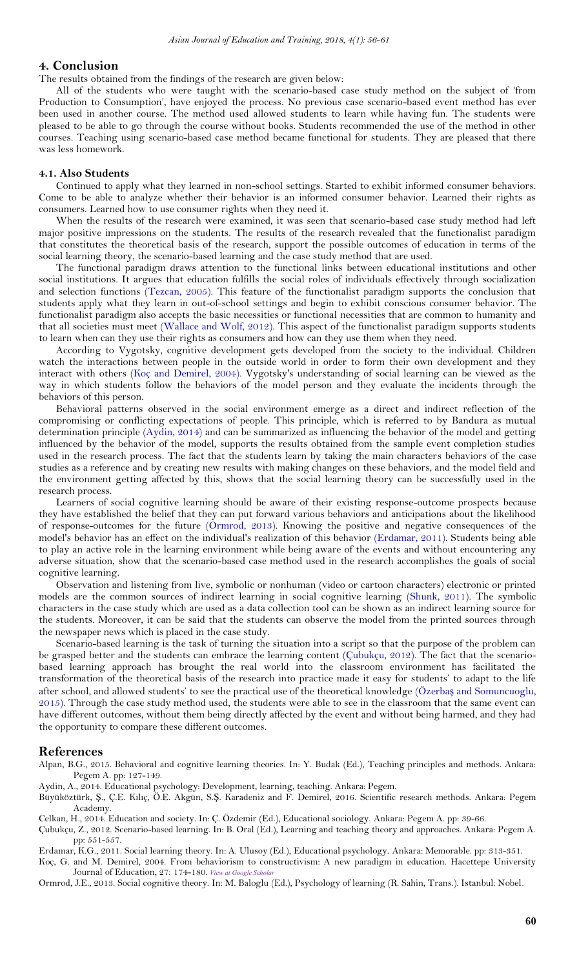#### <span id="page-4-0"></span>**4. Conclusion**

The results obtained from the findings of the research are given below:

All of the students who were taught with the scenario-based case study method on the subject of 'from Production to Consumption', have enjoyed the process. No previous case scenario-based event method has ever been used in another course. The method used allowed students to learn while having fun. The students were pleased to be able to go through the course without books. Students recommended the use of the method in other courses. Teaching using scenario-based case method became functional for students. They are pleased that there was less homework.

#### **4.1. Also Students**

Continued to apply what they learned in non-school settings. Started to exhibit informed consumer behaviors. Come to be able to analyze whether their behavior is an informed consumer behavior. Learned their rights as consumers. Learned how to use consumer rights when they need it.

When the results of the research were examined, it was seen that scenario-based case study method had left major positive impressions on the students. The results of the research revealed that the functionalist paradigm that constitutes the theoretical basis of the research, support the possible outcomes of education in terms of the social learning theory, the scenario-based learning and the case study method that are used.

The functional paradigm draws attention to the functional links between educational institutions and other social institutions. It argues that education fulfills the social roles of individuals effectively through socialization and selection functions [\(Tezcan, 2005\)](#page-5-7). This feature of the functionalist paradigm supports the conclusion that students apply what they learn in out-of-school settings and begin to exhibit conscious consumer behavior. The functionalist paradigm also accepts the basic necessities or functional necessities that are common to humanity and that all societies must meet [\(Wallace and Wolf, 2012\)](#page-5-1). This aspect of the functionalist paradigm supports students to learn when can they use their rights as consumers and how can they use them when they need.

According to Vygotsky, cognitive development gets developed from the society to the individual. Children watch the interactions between people in the outside world in order to form their own development and they interact with others [\(Koç and Demirel, 2004\)](#page-4-7). Vygotsky's understanding of social learning can be viewed as the way in which students follow the behaviors of the model person and they evaluate the incidents through the behaviors of this person.

Behavioral patterns observed in the social environment emerge as a direct and indirect reflection of the compromising or conflicting expectations of people. This principle, which is referred to by Bandura as mutual determination principle [\(Aydin, 2014\)](#page-4-8) and can be summarized as influencing the behavior of the model and getting influenced by the behavior of the model, supports the results obtained from the sample event completion studies used in the research process. The fact that the students learn by taking the main characters behaviors of the case studies as a reference and by creating new results with making changes on these behaviors, and the model field and the environment getting affected by this, shows that the social learning theory can be successfully used in the research process.

Learners of social cognitive learning should be aware of their existing response-outcome prospects because they have established the belief that they can put forward various behaviors and anticipations about the likelihood of response-outcomes for the future [\(Ormrod, 2013\)](#page-4-9). Knowing the positive and negative consequences of the model's behavior has an effect on the individual's realization of this behavior [\(Erdamar, 2011\)](#page-4-4). Students being able to play an active role in the learning environment while being aware of the events and without encountering any adverse situation, show that the scenario-based case method used in the research accomplishes the goals of social cognitive learning.

Observation and listening from live, symbolic or nonhuman (video or cartoon characters) electronic or printed models are the common sources of indirect learning in social cognitive learning [\(Shunk, 2011\)](#page-5-8). The symbolic characters in the case study which are used as a data collection tool can be shown as an indirect learning source for the students. Moreover, it can be said that the students can observe the model from the printed sources through the newspaper news which is placed in the case study.

Scenario-based learning is the task of turning the situation into a script so that the purpose of the problem can be grasped better and the students can embrace the learning content [\(Çubukçu, 2012\)](#page-4-5). The fact that the scenariobased learning approach has brought the real world into the classroom environment has facilitated the transformation of the theoretical basis of the research into practice made it easy for students' to adapt to the life after school, and allowed students' to see the practical use of the theoretical knowledge (Özerbaş [and Somuncuoglu,](#page-5-2)  [2015\)](#page-5-2). Through the case study method used, the students were able to see in the classroom that the same event can have different outcomes, without them being directly affected by the event and without being harmed, and they had the opportunity to compare these different outcomes.

#### <span id="page-4-1"></span>**References**

<span id="page-4-3"></span>Alpan, B.G., 2015. Behavioral and cognitive learning theories. In: Y. Budak (Ed.), Teaching principles and methods. Ankara: Pegem A. pp: 127-149.

<span id="page-4-8"></span>Aydin, A., 2014. Educational psychology: Development, learning, teaching. Ankara: Pegem.

<span id="page-4-6"></span>Büyüköztürk, Ş., Ç.E. Kılıç, Ö.E. Akgün, S.Ş. Karadeniz and F. Demirel, 2016. Scientific research methods. Ankara: Pegem Academy.

<span id="page-4-2"></span>Celkan, H., 2014. Education and society. In: Ç. Özdemir (Ed.), Educational sociology. Ankara: Pegem A. pp: 39-66.

<span id="page-4-5"></span>Çubukçu, Z., 2012. Scenario-based learning. In: B. Oral (Ed.), Learning and teaching theory and approaches. Ankara: Pegem A. pp: 551-557.

<span id="page-4-4"></span>Erdamar, K.G., 2011. Social learning theory. In: A. Ulusoy (Ed.), Educational psychology. Ankara: Memorable. pp: 313-351.

<span id="page-4-7"></span>Koç, G. and M. Demirel, 2004. From behaviorism to constructivism: A new paradigm in education. Hacettepe University Journal of Education, 27: 174-180. *View at Google [Scholar](https://scholar.google.com/scholar?hl=en&q=From%20behaviorism%20to%20constructivism:%20A%20new%20paradigm%20in%20education)*

<span id="page-4-9"></span>Ormrod, J.E., 2013. Social cognitive theory. In: M. Baloglu (Ed.), Psychology of learning (R. Sahin, Trans.). Istanbul: Nobel.